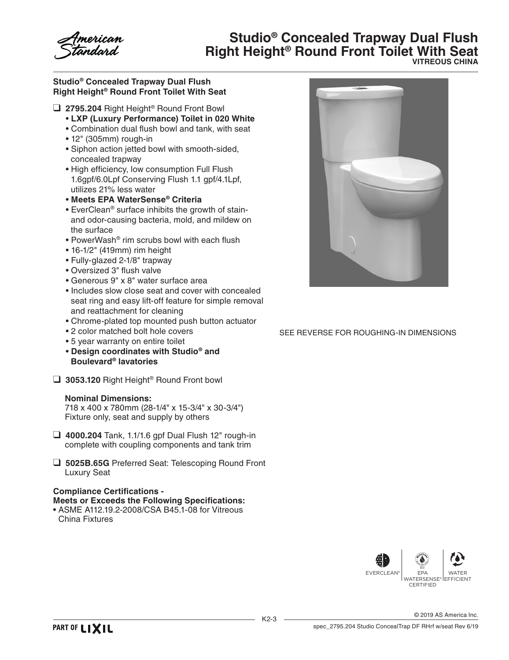# **Studio® Concealed Trapway Dual Flush Right Height® Round Front Toilet With Seat VITREOUS CHINA**

### **Studio® Concealed Trapway Dual Flush Right Height® Round Front Toilet With Seat**

- ❑ **2795.204** Right Height® Round Front Bowl
	- **LXP (Luxury Performance) Toilet in 020 White**
	- Combination dual flush bowl and tank, with seat
	- 12" (305mm) rough-in
	- Siphon action jetted bowl with smooth-sided, concealed trapway
	- High efficiency, low consumption Full Flush 1.6gpf/6.0Lpf Conserving Flush 1.1 gpf/4.1Lpf, utilizes 21% less water
	- **Meets EPA WaterSense® Criteria**
	- EverClean® surface inhibits the growth of stainand odor-causing bacteria, mold, and mildew on the surface
	- PowerWash® rim scrubs bowl with each flush
	- 16-1/2" (419mm) rim height
	- Fully-glazed 2-1/8" trapway
	- Oversized 3" flush valve
	- Generous 9" x 8" water surface area
	- Includes slow close seat and cover with concealed seat ring and easy lift-off feature for simple removal and reattachment for cleaning
	- Chrome-plated top mounted push button actuator
	- 2 color matched bolt hole covers
	- 5 year warranty on entire toilet
	- **Design coordinates with Studio® and Boulevard® lavatories**
- ❑ **3053.120** Right Height® Round Front bowl

### **Nominal Dimensions:**

 718 x 400 x 780mm (28-1/4" x 15-3/4" x 30-3/4") Fixture only, seat and supply by others

- ❑ **4000.204** Tank, 1.1/1.6 gpf Dual Flush 12" rough-in complete with coupling components and tank trim
- ❑ **5025B.65G** Preferred Seat: Telescoping Round Front Luxury Seat

## **Compliance Certifications -**

## **Meets or Exceeds the Following Specifications:**

• ASME A112.19.2-2008/CSA B45.1-08 for Vitreous China Fixtures



SEE REVERSE FOR ROUGHING-IN DIMENSIONS